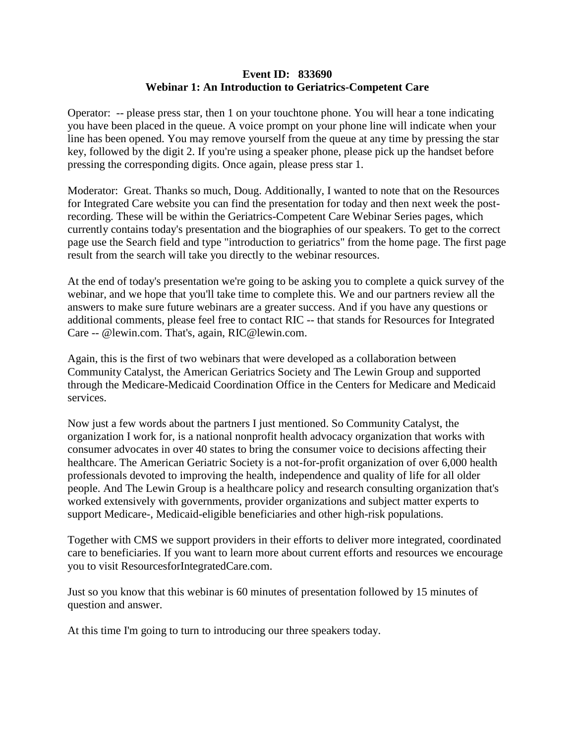## **Event ID: 833690 Webinar 1: An Introduction to Geriatrics-Competent Care**

Operator: -- please press star, then 1 on your touchtone phone. You will hear a tone indicating you have been placed in the queue. A voice prompt on your phone line will indicate when your line has been opened. You may remove yourself from the queue at any time by pressing the star key, followed by the digit 2. If you're using a speaker phone, please pick up the handset before pressing the corresponding digits. Once again, please press star 1.

Moderator: Great. Thanks so much, Doug. Additionally, I wanted to note that on the Resources for Integrated Care website you can find the presentation for today and then next week the postrecording. These will be within the Geriatrics-Competent Care Webinar Series pages, which currently contains today's presentation and the biographies of our speakers. To get to the correct page use the Search field and type "introduction to geriatrics" from the home page. The first page result from the search will take you directly to the webinar resources.

At the end of today's presentation we're going to be asking you to complete a quick survey of the webinar, and we hope that you'll take time to complete this. We and our partners review all the answers to make sure future webinars are a greater success. And if you have any questions or additional comments, please feel free to contact RIC -- that stands for Resources for Integrated Care -- @lewin.com. That's, again, RIC@lewin.com.

Again, this is the first of two webinars that were developed as a collaboration between Community Catalyst, the American Geriatrics Society and The Lewin Group and supported through the Medicare-Medicaid Coordination Office in the Centers for Medicare and Medicaid services.

Now just a few words about the partners I just mentioned. So Community Catalyst, the organization I work for, is a national nonprofit health advocacy organization that works with consumer advocates in over 40 states to bring the consumer voice to decisions affecting their healthcare. The American Geriatric Society is a not-for-profit organization of over 6,000 health professionals devoted to improving the health, independence and quality of life for all older people. And The Lewin Group is a healthcare policy and research consulting organization that's worked extensively with governments, provider organizations and subject matter experts to support Medicare-, Medicaid-eligible beneficiaries and other high-risk populations.

Together with CMS we support providers in their efforts to deliver more integrated, coordinated care to beneficiaries. If you want to learn more about current efforts and resources we encourage you to visit ResourcesforIntegratedCare.com.

Just so you know that this webinar is 60 minutes of presentation followed by 15 minutes of question and answer.

At this time I'm going to turn to introducing our three speakers today.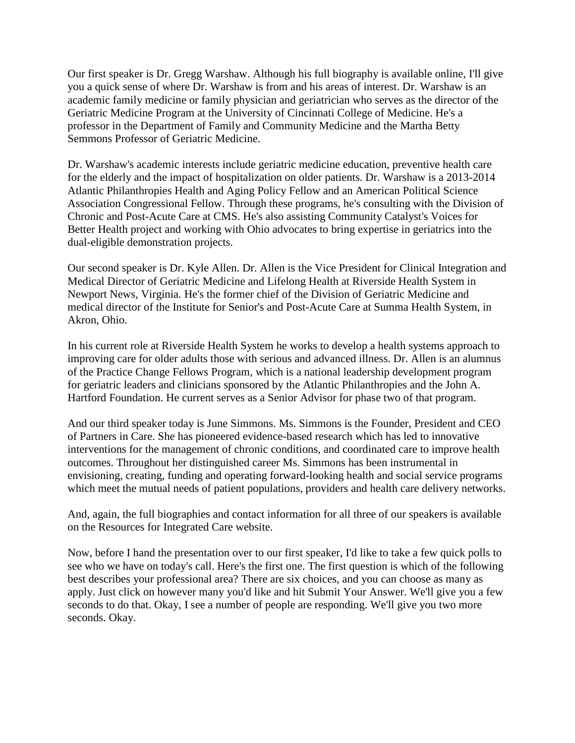Our first speaker is Dr. Gregg Warshaw. Although his full biography is available online, I'll give you a quick sense of where Dr. Warshaw is from and his areas of interest. Dr. Warshaw is an academic family medicine or family physician and geriatrician who serves as the director of the Geriatric Medicine Program at the University of Cincinnati College of Medicine. He's a professor in the Department of Family and Community Medicine and the Martha Betty Semmons Professor of Geriatric Medicine.

Dr. Warshaw's academic interests include geriatric medicine education, preventive health care for the elderly and the impact of hospitalization on older patients. Dr. Warshaw is a 2013-2014 Atlantic Philanthropies Health and Aging Policy Fellow and an American Political Science Association Congressional Fellow. Through these programs, he's consulting with the Division of Chronic and Post-Acute Care at CMS. He's also assisting Community Catalyst's Voices for Better Health project and working with Ohio advocates to bring expertise in geriatrics into the dual-eligible demonstration projects.

Our second speaker is Dr. Kyle Allen. Dr. Allen is the Vice President for Clinical Integration and Medical Director of Geriatric Medicine and Lifelong Health at Riverside Health System in Newport News, Virginia. He's the former chief of the Division of Geriatric Medicine and medical director of the Institute for Senior's and Post-Acute Care at Summa Health System, in Akron, Ohio.

In his current role at Riverside Health System he works to develop a health systems approach to improving care for older adults those with serious and advanced illness. Dr. Allen is an alumnus of the Practice Change Fellows Program, which is a national leadership development program for geriatric leaders and clinicians sponsored by the Atlantic Philanthropies and the John A. Hartford Foundation. He current serves as a Senior Advisor for phase two of that program.

And our third speaker today is June Simmons. Ms. Simmons is the Founder, President and CEO of Partners in Care. She has pioneered evidence-based research which has led to innovative interventions for the management of chronic conditions, and coordinated care to improve health outcomes. Throughout her distinguished career Ms. Simmons has been instrumental in envisioning, creating, funding and operating forward-looking health and social service programs which meet the mutual needs of patient populations, providers and health care delivery networks.

And, again, the full biographies and contact information for all three of our speakers is available on the Resources for Integrated Care website.

Now, before I hand the presentation over to our first speaker, I'd like to take a few quick polls to see who we have on today's call. Here's the first one. The first question is which of the following best describes your professional area? There are six choices, and you can choose as many as apply. Just click on however many you'd like and hit Submit Your Answer. We'll give you a few seconds to do that. Okay, I see a number of people are responding. We'll give you two more seconds. Okay.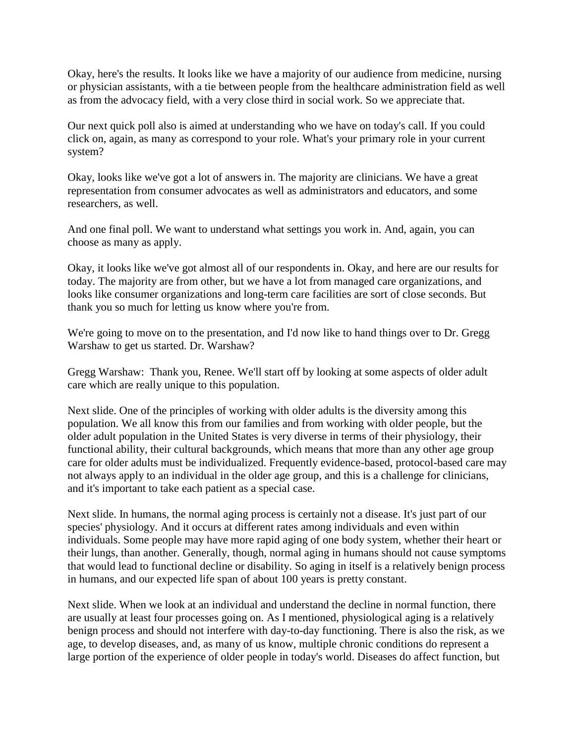Okay, here's the results. It looks like we have a majority of our audience from medicine, nursing or physician assistants, with a tie between people from the healthcare administration field as well as from the advocacy field, with a very close third in social work. So we appreciate that.

Our next quick poll also is aimed at understanding who we have on today's call. If you could click on, again, as many as correspond to your role. What's your primary role in your current system?

Okay, looks like we've got a lot of answers in. The majority are clinicians. We have a great representation from consumer advocates as well as administrators and educators, and some researchers, as well.

And one final poll. We want to understand what settings you work in. And, again, you can choose as many as apply.

Okay, it looks like we've got almost all of our respondents in. Okay, and here are our results for today. The majority are from other, but we have a lot from managed care organizations, and looks like consumer organizations and long-term care facilities are sort of close seconds. But thank you so much for letting us know where you're from.

We're going to move on to the presentation, and I'd now like to hand things over to Dr. Gregg Warshaw to get us started. Dr. Warshaw?

Gregg Warshaw: Thank you, Renee. We'll start off by looking at some aspects of older adult care which are really unique to this population.

Next slide. One of the principles of working with older adults is the diversity among this population. We all know this from our families and from working with older people, but the older adult population in the United States is very diverse in terms of their physiology, their functional ability, their cultural backgrounds, which means that more than any other age group care for older adults must be individualized. Frequently evidence-based, protocol-based care may not always apply to an individual in the older age group, and this is a challenge for clinicians, and it's important to take each patient as a special case.

Next slide. In humans, the normal aging process is certainly not a disease. It's just part of our species' physiology. And it occurs at different rates among individuals and even within individuals. Some people may have more rapid aging of one body system, whether their heart or their lungs, than another. Generally, though, normal aging in humans should not cause symptoms that would lead to functional decline or disability. So aging in itself is a relatively benign process in humans, and our expected life span of about 100 years is pretty constant.

Next slide. When we look at an individual and understand the decline in normal function, there are usually at least four processes going on. As I mentioned, physiological aging is a relatively benign process and should not interfere with day-to-day functioning. There is also the risk, as we age, to develop diseases, and, as many of us know, multiple chronic conditions do represent a large portion of the experience of older people in today's world. Diseases do affect function, but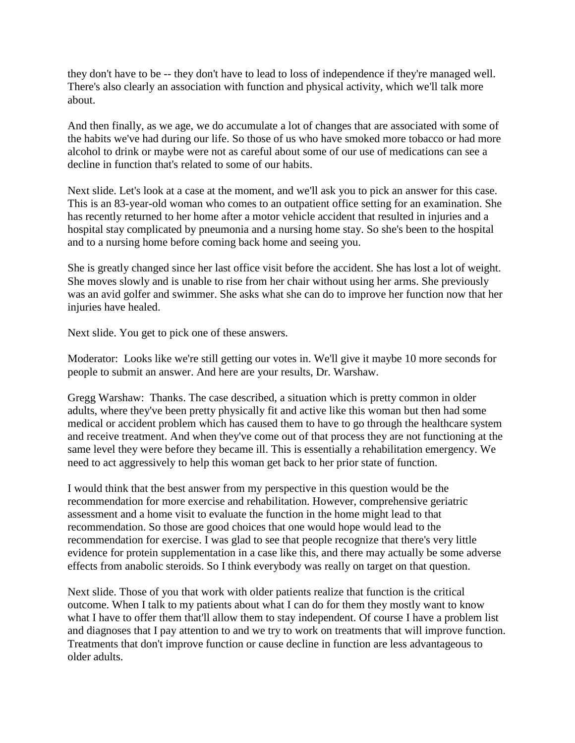they don't have to be -- they don't have to lead to loss of independence if they're managed well. There's also clearly an association with function and physical activity, which we'll talk more about.

And then finally, as we age, we do accumulate a lot of changes that are associated with some of the habits we've had during our life. So those of us who have smoked more tobacco or had more alcohol to drink or maybe were not as careful about some of our use of medications can see a decline in function that's related to some of our habits.

Next slide. Let's look at a case at the moment, and we'll ask you to pick an answer for this case. This is an 83-year-old woman who comes to an outpatient office setting for an examination. She has recently returned to her home after a motor vehicle accident that resulted in injuries and a hospital stay complicated by pneumonia and a nursing home stay. So she's been to the hospital and to a nursing home before coming back home and seeing you.

She is greatly changed since her last office visit before the accident. She has lost a lot of weight. She moves slowly and is unable to rise from her chair without using her arms. She previously was an avid golfer and swimmer. She asks what she can do to improve her function now that her injuries have healed.

Next slide. You get to pick one of these answers.

Moderator: Looks like we're still getting our votes in. We'll give it maybe 10 more seconds for people to submit an answer. And here are your results, Dr. Warshaw.

Gregg Warshaw: Thanks. The case described, a situation which is pretty common in older adults, where they've been pretty physically fit and active like this woman but then had some medical or accident problem which has caused them to have to go through the healthcare system and receive treatment. And when they've come out of that process they are not functioning at the same level they were before they became ill. This is essentially a rehabilitation emergency. We need to act aggressively to help this woman get back to her prior state of function.

I would think that the best answer from my perspective in this question would be the recommendation for more exercise and rehabilitation. However, comprehensive geriatric assessment and a home visit to evaluate the function in the home might lead to that recommendation. So those are good choices that one would hope would lead to the recommendation for exercise. I was glad to see that people recognize that there's very little evidence for protein supplementation in a case like this, and there may actually be some adverse effects from anabolic steroids. So I think everybody was really on target on that question.

Next slide. Those of you that work with older patients realize that function is the critical outcome. When I talk to my patients about what I can do for them they mostly want to know what I have to offer them that'll allow them to stay independent. Of course I have a problem list and diagnoses that I pay attention to and we try to work on treatments that will improve function. Treatments that don't improve function or cause decline in function are less advantageous to older adults.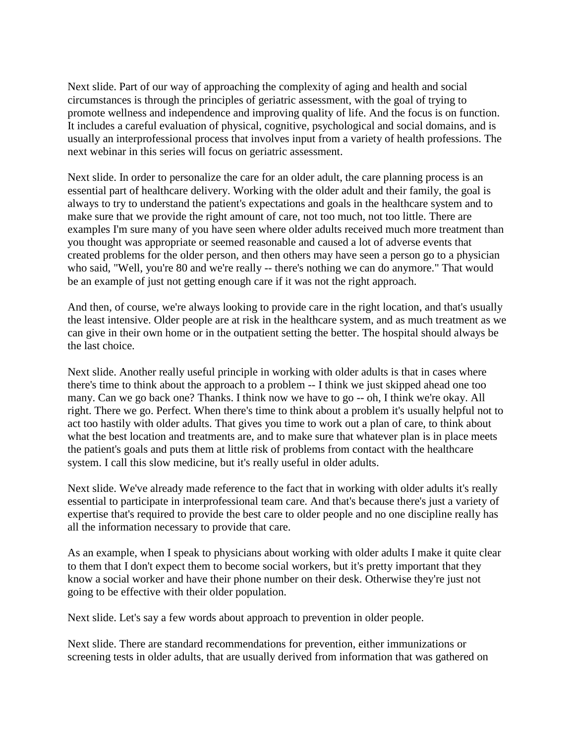Next slide. Part of our way of approaching the complexity of aging and health and social circumstances is through the principles of geriatric assessment, with the goal of trying to promote wellness and independence and improving quality of life. And the focus is on function. It includes a careful evaluation of physical, cognitive, psychological and social domains, and is usually an interprofessional process that involves input from a variety of health professions. The next webinar in this series will focus on geriatric assessment.

Next slide. In order to personalize the care for an older adult, the care planning process is an essential part of healthcare delivery. Working with the older adult and their family, the goal is always to try to understand the patient's expectations and goals in the healthcare system and to make sure that we provide the right amount of care, not too much, not too little. There are examples I'm sure many of you have seen where older adults received much more treatment than you thought was appropriate or seemed reasonable and caused a lot of adverse events that created problems for the older person, and then others may have seen a person go to a physician who said, "Well, you're 80 and we're really -- there's nothing we can do anymore." That would be an example of just not getting enough care if it was not the right approach.

And then, of course, we're always looking to provide care in the right location, and that's usually the least intensive. Older people are at risk in the healthcare system, and as much treatment as we can give in their own home or in the outpatient setting the better. The hospital should always be the last choice.

Next slide. Another really useful principle in working with older adults is that in cases where there's time to think about the approach to a problem -- I think we just skipped ahead one too many. Can we go back one? Thanks. I think now we have to go -- oh, I think we're okay. All right. There we go. Perfect. When there's time to think about a problem it's usually helpful not to act too hastily with older adults. That gives you time to work out a plan of care, to think about what the best location and treatments are, and to make sure that whatever plan is in place meets the patient's goals and puts them at little risk of problems from contact with the healthcare system. I call this slow medicine, but it's really useful in older adults.

Next slide. We've already made reference to the fact that in working with older adults it's really essential to participate in interprofessional team care. And that's because there's just a variety of expertise that's required to provide the best care to older people and no one discipline really has all the information necessary to provide that care.

As an example, when I speak to physicians about working with older adults I make it quite clear to them that I don't expect them to become social workers, but it's pretty important that they know a social worker and have their phone number on their desk. Otherwise they're just not going to be effective with their older population.

Next slide. Let's say a few words about approach to prevention in older people.

Next slide. There are standard recommendations for prevention, either immunizations or screening tests in older adults, that are usually derived from information that was gathered on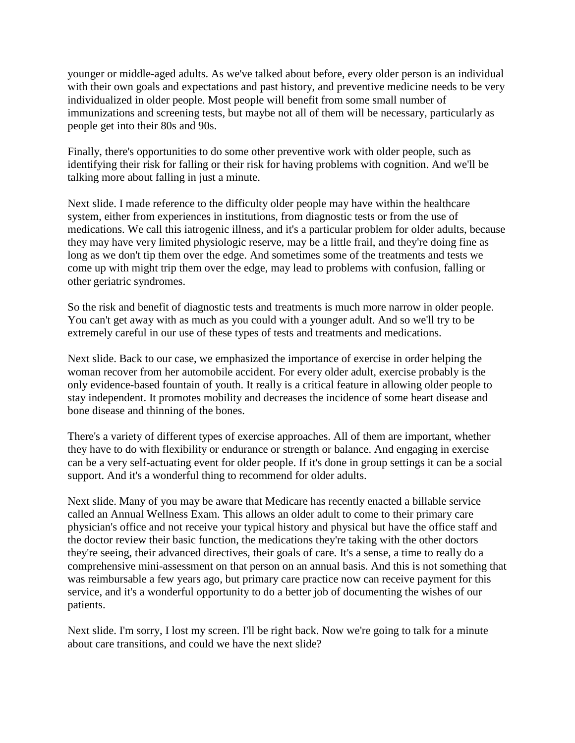younger or middle-aged adults. As we've talked about before, every older person is an individual with their own goals and expectations and past history, and preventive medicine needs to be very individualized in older people. Most people will benefit from some small number of immunizations and screening tests, but maybe not all of them will be necessary, particularly as people get into their 80s and 90s.

Finally, there's opportunities to do some other preventive work with older people, such as identifying their risk for falling or their risk for having problems with cognition. And we'll be talking more about falling in just a minute.

Next slide. I made reference to the difficulty older people may have within the healthcare system, either from experiences in institutions, from diagnostic tests or from the use of medications. We call this iatrogenic illness, and it's a particular problem for older adults, because they may have very limited physiologic reserve, may be a little frail, and they're doing fine as long as we don't tip them over the edge. And sometimes some of the treatments and tests we come up with might trip them over the edge, may lead to problems with confusion, falling or other geriatric syndromes.

So the risk and benefit of diagnostic tests and treatments is much more narrow in older people. You can't get away with as much as you could with a younger adult. And so we'll try to be extremely careful in our use of these types of tests and treatments and medications.

Next slide. Back to our case, we emphasized the importance of exercise in order helping the woman recover from her automobile accident. For every older adult, exercise probably is the only evidence-based fountain of youth. It really is a critical feature in allowing older people to stay independent. It promotes mobility and decreases the incidence of some heart disease and bone disease and thinning of the bones.

There's a variety of different types of exercise approaches. All of them are important, whether they have to do with flexibility or endurance or strength or balance. And engaging in exercise can be a very self-actuating event for older people. If it's done in group settings it can be a social support. And it's a wonderful thing to recommend for older adults.

Next slide. Many of you may be aware that Medicare has recently enacted a billable service called an Annual Wellness Exam. This allows an older adult to come to their primary care physician's office and not receive your typical history and physical but have the office staff and the doctor review their basic function, the medications they're taking with the other doctors they're seeing, their advanced directives, their goals of care. It's a sense, a time to really do a comprehensive mini-assessment on that person on an annual basis. And this is not something that was reimbursable a few years ago, but primary care practice now can receive payment for this service, and it's a wonderful opportunity to do a better job of documenting the wishes of our patients.

Next slide. I'm sorry, I lost my screen. I'll be right back. Now we're going to talk for a minute about care transitions, and could we have the next slide?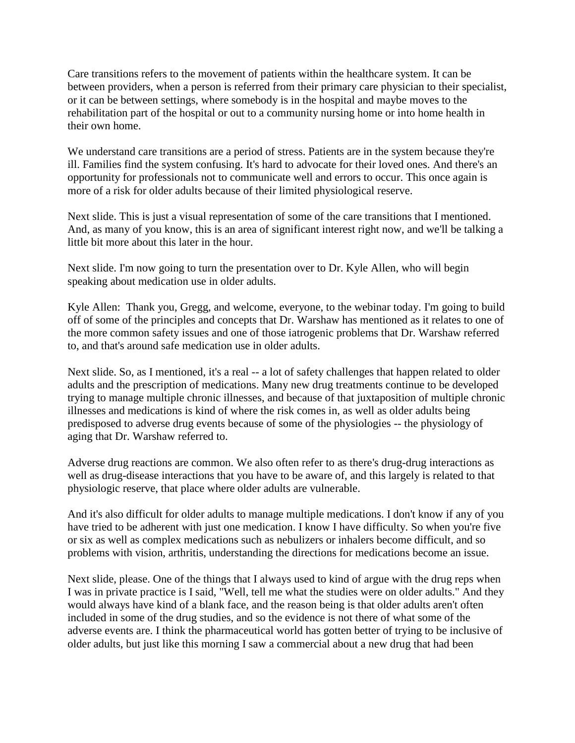Care transitions refers to the movement of patients within the healthcare system. It can be between providers, when a person is referred from their primary care physician to their specialist, or it can be between settings, where somebody is in the hospital and maybe moves to the rehabilitation part of the hospital or out to a community nursing home or into home health in their own home.

We understand care transitions are a period of stress. Patients are in the system because they're ill. Families find the system confusing. It's hard to advocate for their loved ones. And there's an opportunity for professionals not to communicate well and errors to occur. This once again is more of a risk for older adults because of their limited physiological reserve.

Next slide. This is just a visual representation of some of the care transitions that I mentioned. And, as many of you know, this is an area of significant interest right now, and we'll be talking a little bit more about this later in the hour.

Next slide. I'm now going to turn the presentation over to Dr. Kyle Allen, who will begin speaking about medication use in older adults.

Kyle Allen: Thank you, Gregg, and welcome, everyone, to the webinar today. I'm going to build off of some of the principles and concepts that Dr. Warshaw has mentioned as it relates to one of the more common safety issues and one of those iatrogenic problems that Dr. Warshaw referred to, and that's around safe medication use in older adults.

Next slide. So, as I mentioned, it's a real -- a lot of safety challenges that happen related to older adults and the prescription of medications. Many new drug treatments continue to be developed trying to manage multiple chronic illnesses, and because of that juxtaposition of multiple chronic illnesses and medications is kind of where the risk comes in, as well as older adults being predisposed to adverse drug events because of some of the physiologies -- the physiology of aging that Dr. Warshaw referred to.

Adverse drug reactions are common. We also often refer to as there's drug-drug interactions as well as drug-disease interactions that you have to be aware of, and this largely is related to that physiologic reserve, that place where older adults are vulnerable.

And it's also difficult for older adults to manage multiple medications. I don't know if any of you have tried to be adherent with just one medication. I know I have difficulty. So when you're five or six as well as complex medications such as nebulizers or inhalers become difficult, and so problems with vision, arthritis, understanding the directions for medications become an issue.

Next slide, please. One of the things that I always used to kind of argue with the drug reps when I was in private practice is I said, "Well, tell me what the studies were on older adults." And they would always have kind of a blank face, and the reason being is that older adults aren't often included in some of the drug studies, and so the evidence is not there of what some of the adverse events are. I think the pharmaceutical world has gotten better of trying to be inclusive of older adults, but just like this morning I saw a commercial about a new drug that had been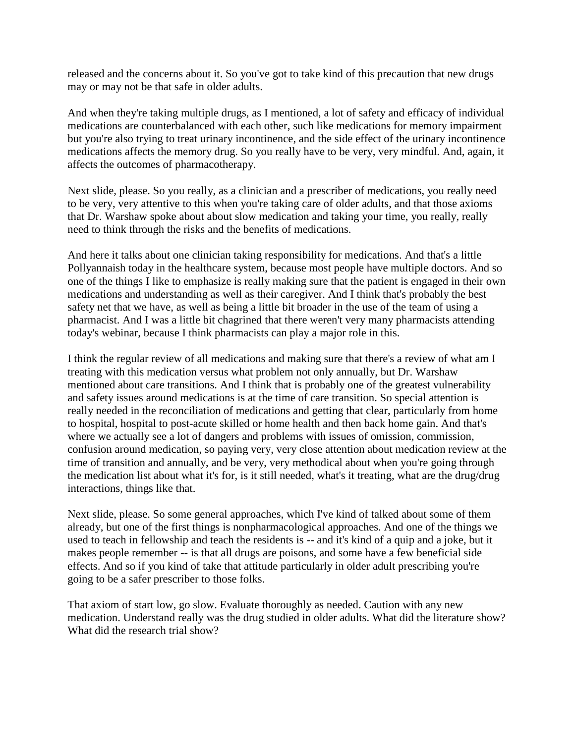released and the concerns about it. So you've got to take kind of this precaution that new drugs may or may not be that safe in older adults.

And when they're taking multiple drugs, as I mentioned, a lot of safety and efficacy of individual medications are counterbalanced with each other, such like medications for memory impairment but you're also trying to treat urinary incontinence, and the side effect of the urinary incontinence medications affects the memory drug. So you really have to be very, very mindful. And, again, it affects the outcomes of pharmacotherapy.

Next slide, please. So you really, as a clinician and a prescriber of medications, you really need to be very, very attentive to this when you're taking care of older adults, and that those axioms that Dr. Warshaw spoke about about slow medication and taking your time, you really, really need to think through the risks and the benefits of medications.

And here it talks about one clinician taking responsibility for medications. And that's a little Pollyannaish today in the healthcare system, because most people have multiple doctors. And so one of the things I like to emphasize is really making sure that the patient is engaged in their own medications and understanding as well as their caregiver. And I think that's probably the best safety net that we have, as well as being a little bit broader in the use of the team of using a pharmacist. And I was a little bit chagrined that there weren't very many pharmacists attending today's webinar, because I think pharmacists can play a major role in this.

I think the regular review of all medications and making sure that there's a review of what am I treating with this medication versus what problem not only annually, but Dr. Warshaw mentioned about care transitions. And I think that is probably one of the greatest vulnerability and safety issues around medications is at the time of care transition. So special attention is really needed in the reconciliation of medications and getting that clear, particularly from home to hospital, hospital to post-acute skilled or home health and then back home gain. And that's where we actually see a lot of dangers and problems with issues of omission, commission, confusion around medication, so paying very, very close attention about medication review at the time of transition and annually, and be very, very methodical about when you're going through the medication list about what it's for, is it still needed, what's it treating, what are the drug/drug interactions, things like that.

Next slide, please. So some general approaches, which I've kind of talked about some of them already, but one of the first things is nonpharmacological approaches. And one of the things we used to teach in fellowship and teach the residents is -- and it's kind of a quip and a joke, but it makes people remember -- is that all drugs are poisons, and some have a few beneficial side effects. And so if you kind of take that attitude particularly in older adult prescribing you're going to be a safer prescriber to those folks.

That axiom of start low, go slow. Evaluate thoroughly as needed. Caution with any new medication. Understand really was the drug studied in older adults. What did the literature show? What did the research trial show?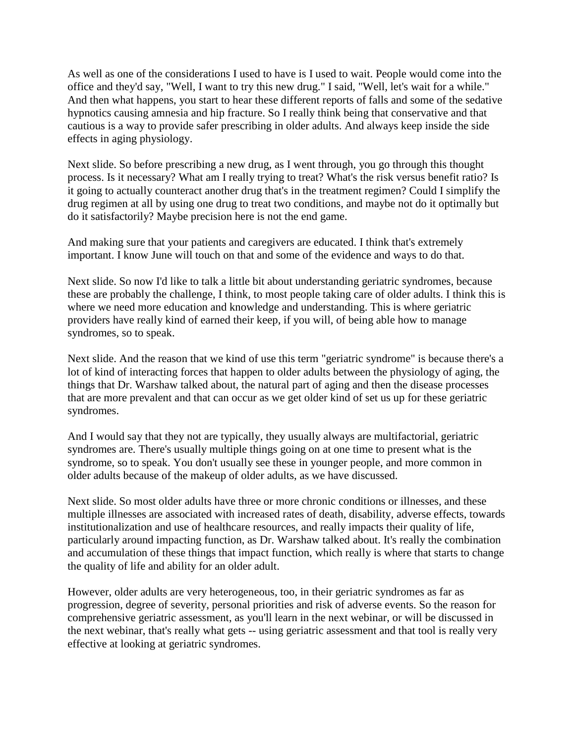As well as one of the considerations I used to have is I used to wait. People would come into the office and they'd say, "Well, I want to try this new drug." I said, "Well, let's wait for a while." And then what happens, you start to hear these different reports of falls and some of the sedative hypnotics causing amnesia and hip fracture. So I really think being that conservative and that cautious is a way to provide safer prescribing in older adults. And always keep inside the side effects in aging physiology.

Next slide. So before prescribing a new drug, as I went through, you go through this thought process. Is it necessary? What am I really trying to treat? What's the risk versus benefit ratio? Is it going to actually counteract another drug that's in the treatment regimen? Could I simplify the drug regimen at all by using one drug to treat two conditions, and maybe not do it optimally but do it satisfactorily? Maybe precision here is not the end game.

And making sure that your patients and caregivers are educated. I think that's extremely important. I know June will touch on that and some of the evidence and ways to do that.

Next slide. So now I'd like to talk a little bit about understanding geriatric syndromes, because these are probably the challenge, I think, to most people taking care of older adults. I think this is where we need more education and knowledge and understanding. This is where geriatric providers have really kind of earned their keep, if you will, of being able how to manage syndromes, so to speak.

Next slide. And the reason that we kind of use this term "geriatric syndrome" is because there's a lot of kind of interacting forces that happen to older adults between the physiology of aging, the things that Dr. Warshaw talked about, the natural part of aging and then the disease processes that are more prevalent and that can occur as we get older kind of set us up for these geriatric syndromes.

And I would say that they not are typically, they usually always are multifactorial, geriatric syndromes are. There's usually multiple things going on at one time to present what is the syndrome, so to speak. You don't usually see these in younger people, and more common in older adults because of the makeup of older adults, as we have discussed.

Next slide. So most older adults have three or more chronic conditions or illnesses, and these multiple illnesses are associated with increased rates of death, disability, adverse effects, towards institutionalization and use of healthcare resources, and really impacts their quality of life, particularly around impacting function, as Dr. Warshaw talked about. It's really the combination and accumulation of these things that impact function, which really is where that starts to change the quality of life and ability for an older adult.

However, older adults are very heterogeneous, too, in their geriatric syndromes as far as progression, degree of severity, personal priorities and risk of adverse events. So the reason for comprehensive geriatric assessment, as you'll learn in the next webinar, or will be discussed in the next webinar, that's really what gets -- using geriatric assessment and that tool is really very effective at looking at geriatric syndromes.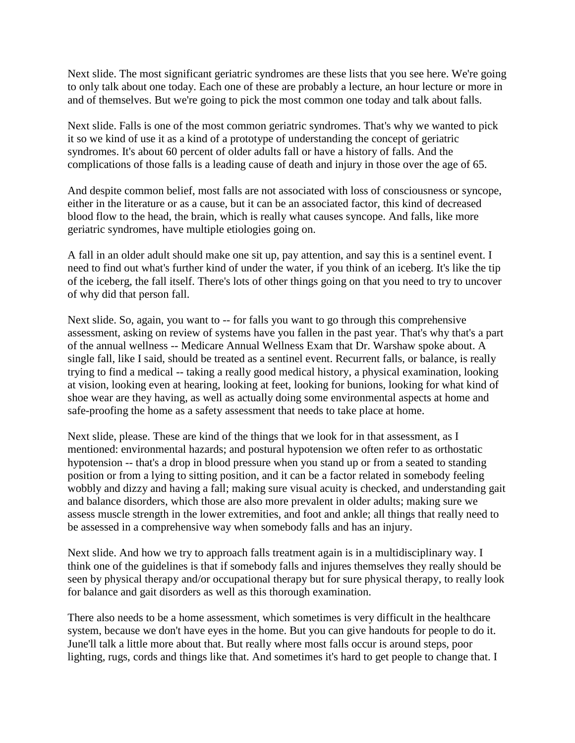Next slide. The most significant geriatric syndromes are these lists that you see here. We're going to only talk about one today. Each one of these are probably a lecture, an hour lecture or more in and of themselves. But we're going to pick the most common one today and talk about falls.

Next slide. Falls is one of the most common geriatric syndromes. That's why we wanted to pick it so we kind of use it as a kind of a prototype of understanding the concept of geriatric syndromes. It's about 60 percent of older adults fall or have a history of falls. And the complications of those falls is a leading cause of death and injury in those over the age of 65.

And despite common belief, most falls are not associated with loss of consciousness or syncope, either in the literature or as a cause, but it can be an associated factor, this kind of decreased blood flow to the head, the brain, which is really what causes syncope. And falls, like more geriatric syndromes, have multiple etiologies going on.

A fall in an older adult should make one sit up, pay attention, and say this is a sentinel event. I need to find out what's further kind of under the water, if you think of an iceberg. It's like the tip of the iceberg, the fall itself. There's lots of other things going on that you need to try to uncover of why did that person fall.

Next slide. So, again, you want to -- for falls you want to go through this comprehensive assessment, asking on review of systems have you fallen in the past year. That's why that's a part of the annual wellness -- Medicare Annual Wellness Exam that Dr. Warshaw spoke about. A single fall, like I said, should be treated as a sentinel event. Recurrent falls, or balance, is really trying to find a medical -- taking a really good medical history, a physical examination, looking at vision, looking even at hearing, looking at feet, looking for bunions, looking for what kind of shoe wear are they having, as well as actually doing some environmental aspects at home and safe-proofing the home as a safety assessment that needs to take place at home.

Next slide, please. These are kind of the things that we look for in that assessment, as I mentioned: environmental hazards; and postural hypotension we often refer to as orthostatic hypotension -- that's a drop in blood pressure when you stand up or from a seated to standing position or from a lying to sitting position, and it can be a factor related in somebody feeling wobbly and dizzy and having a fall; making sure visual acuity is checked, and understanding gait and balance disorders, which those are also more prevalent in older adults; making sure we assess muscle strength in the lower extremities, and foot and ankle; all things that really need to be assessed in a comprehensive way when somebody falls and has an injury.

Next slide. And how we try to approach falls treatment again is in a multidisciplinary way. I think one of the guidelines is that if somebody falls and injures themselves they really should be seen by physical therapy and/or occupational therapy but for sure physical therapy, to really look for balance and gait disorders as well as this thorough examination.

There also needs to be a home assessment, which sometimes is very difficult in the healthcare system, because we don't have eyes in the home. But you can give handouts for people to do it. June'll talk a little more about that. But really where most falls occur is around steps, poor lighting, rugs, cords and things like that. And sometimes it's hard to get people to change that. I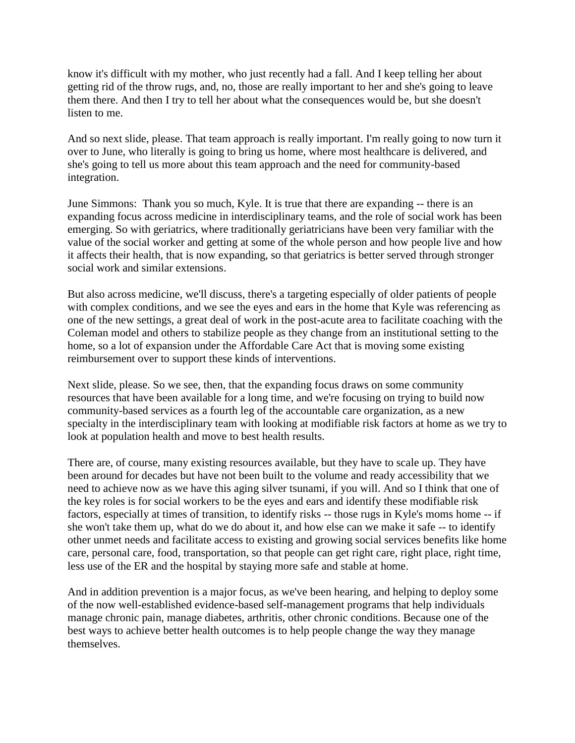know it's difficult with my mother, who just recently had a fall. And I keep telling her about getting rid of the throw rugs, and, no, those are really important to her and she's going to leave them there. And then I try to tell her about what the consequences would be, but she doesn't listen to me.

And so next slide, please. That team approach is really important. I'm really going to now turn it over to June, who literally is going to bring us home, where most healthcare is delivered, and she's going to tell us more about this team approach and the need for community-based integration.

June Simmons: Thank you so much, Kyle. It is true that there are expanding -- there is an expanding focus across medicine in interdisciplinary teams, and the role of social work has been emerging. So with geriatrics, where traditionally geriatricians have been very familiar with the value of the social worker and getting at some of the whole person and how people live and how it affects their health, that is now expanding, so that geriatrics is better served through stronger social work and similar extensions.

But also across medicine, we'll discuss, there's a targeting especially of older patients of people with complex conditions, and we see the eyes and ears in the home that Kyle was referencing as one of the new settings, a great deal of work in the post-acute area to facilitate coaching with the Coleman model and others to stabilize people as they change from an institutional setting to the home, so a lot of expansion under the Affordable Care Act that is moving some existing reimbursement over to support these kinds of interventions.

Next slide, please. So we see, then, that the expanding focus draws on some community resources that have been available for a long time, and we're focusing on trying to build now community-based services as a fourth leg of the accountable care organization, as a new specialty in the interdisciplinary team with looking at modifiable risk factors at home as we try to look at population health and move to best health results.

There are, of course, many existing resources available, but they have to scale up. They have been around for decades but have not been built to the volume and ready accessibility that we need to achieve now as we have this aging silver tsunami, if you will. And so I think that one of the key roles is for social workers to be the eyes and ears and identify these modifiable risk factors, especially at times of transition, to identify risks -- those rugs in Kyle's moms home -- if she won't take them up, what do we do about it, and how else can we make it safe -- to identify other unmet needs and facilitate access to existing and growing social services benefits like home care, personal care, food, transportation, so that people can get right care, right place, right time, less use of the ER and the hospital by staying more safe and stable at home.

And in addition prevention is a major focus, as we've been hearing, and helping to deploy some of the now well-established evidence-based self-management programs that help individuals manage chronic pain, manage diabetes, arthritis, other chronic conditions. Because one of the best ways to achieve better health outcomes is to help people change the way they manage themselves.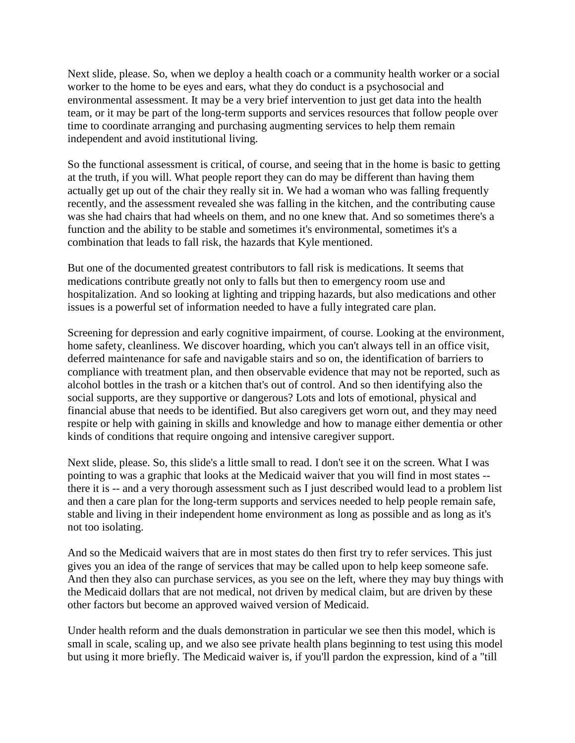Next slide, please. So, when we deploy a health coach or a community health worker or a social worker to the home to be eyes and ears, what they do conduct is a psychosocial and environmental assessment. It may be a very brief intervention to just get data into the health team, or it may be part of the long-term supports and services resources that follow people over time to coordinate arranging and purchasing augmenting services to help them remain independent and avoid institutional living.

So the functional assessment is critical, of course, and seeing that in the home is basic to getting at the truth, if you will. What people report they can do may be different than having them actually get up out of the chair they really sit in. We had a woman who was falling frequently recently, and the assessment revealed she was falling in the kitchen, and the contributing cause was she had chairs that had wheels on them, and no one knew that. And so sometimes there's a function and the ability to be stable and sometimes it's environmental, sometimes it's a combination that leads to fall risk, the hazards that Kyle mentioned.

But one of the documented greatest contributors to fall risk is medications. It seems that medications contribute greatly not only to falls but then to emergency room use and hospitalization. And so looking at lighting and tripping hazards, but also medications and other issues is a powerful set of information needed to have a fully integrated care plan.

Screening for depression and early cognitive impairment, of course. Looking at the environment, home safety, cleanliness. We discover hoarding, which you can't always tell in an office visit, deferred maintenance for safe and navigable stairs and so on, the identification of barriers to compliance with treatment plan, and then observable evidence that may not be reported, such as alcohol bottles in the trash or a kitchen that's out of control. And so then identifying also the social supports, are they supportive or dangerous? Lots and lots of emotional, physical and financial abuse that needs to be identified. But also caregivers get worn out, and they may need respite or help with gaining in skills and knowledge and how to manage either dementia or other kinds of conditions that require ongoing and intensive caregiver support.

Next slide, please. So, this slide's a little small to read. I don't see it on the screen. What I was pointing to was a graphic that looks at the Medicaid waiver that you will find in most states - there it is -- and a very thorough assessment such as I just described would lead to a problem list and then a care plan for the long-term supports and services needed to help people remain safe, stable and living in their independent home environment as long as possible and as long as it's not too isolating.

And so the Medicaid waivers that are in most states do then first try to refer services. This just gives you an idea of the range of services that may be called upon to help keep someone safe. And then they also can purchase services, as you see on the left, where they may buy things with the Medicaid dollars that are not medical, not driven by medical claim, but are driven by these other factors but become an approved waived version of Medicaid.

Under health reform and the duals demonstration in particular we see then this model, which is small in scale, scaling up, and we also see private health plans beginning to test using this model but using it more briefly. The Medicaid waiver is, if you'll pardon the expression, kind of a "till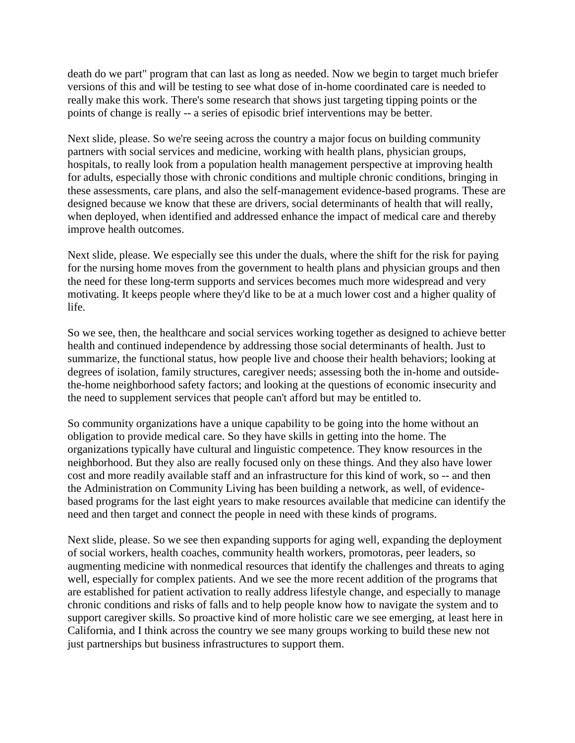death do we part" program that can last as long as needed. Now we begin to target much briefer versions of this and will be testing to see what dose of in-home coordinated care is needed to really make this work. There's some research that shows just targeting tipping points or the points of change is really -- a series of episodic brief interventions may be better.

Next slide, please. So we're seeing across the country a major focus on building community partners with social services and medicine, working with health plans, physician groups, hospitals, to really look from a population health management perspective at improving health for adults, especially those with chronic conditions and multiple chronic conditions, bringing in these assessments, care plans, and also the self-management evidence-based programs. These are designed because we know that these are drivers, social determinants of health that will really, when deployed, when identified and addressed enhance the impact of medical care and thereby improve health outcomes.

Next slide, please. We especially see this under the duals, where the shift for the risk for paying for the nursing home moves from the government to health plans and physician groups and then the need for these long-term supports and services becomes much more widespread and very motivating. It keeps people where they'd like to be at a much lower cost and a higher quality of life.

So we see, then, the healthcare and social services working together as designed to achieve better health and continued independence by addressing those social determinants of health. Just to summarize, the functional status, how people live and choose their health behaviors; looking at degrees of isolation, family structures, caregiver needs; assessing both the in-home and outsidethe-home neighborhood safety factors; and looking at the questions of economic insecurity and the need to supplement services that people can't afford but may be entitled to.

So community organizations have a unique capability to be going into the home without an obligation to provide medical care. So they have skills in getting into the home. The organizations typically have cultural and linguistic competence. They know resources in the neighborhood. But they also are really focused only on these things. And they also have lower cost and more readily available staff and an infrastructure for this kind of work, so -- and then the Administration on Community Living has been building a network, as well, of evidencebased programs for the last eight years to make resources available that medicine can identify the need and then target and connect the people in need with these kinds of programs.

Next slide, please. So we see then expanding supports for aging well, expanding the deployment of social workers, health coaches, community health workers, promotoras, peer leaders, so augmenting medicine with nonmedical resources that identify the challenges and threats to aging well, especially for complex patients. And we see the more recent addition of the programs that are established for patient activation to really address lifestyle change, and especially to manage chronic conditions and risks of falls and to help people know how to navigate the system and to support caregiver skills. So proactive kind of more holistic care we see emerging, at least here in California, and I think across the country we see many groups working to build these new not just partnerships but business infrastructures to support them.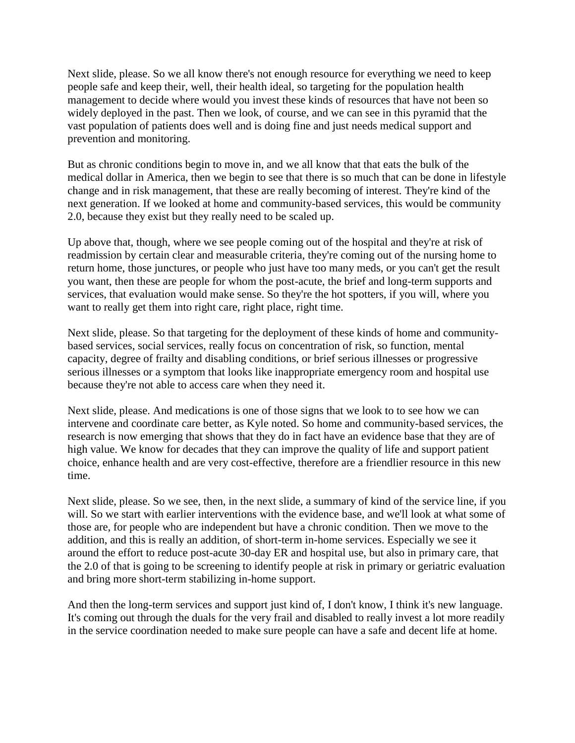Next slide, please. So we all know there's not enough resource for everything we need to keep people safe and keep their, well, their health ideal, so targeting for the population health management to decide where would you invest these kinds of resources that have not been so widely deployed in the past. Then we look, of course, and we can see in this pyramid that the vast population of patients does well and is doing fine and just needs medical support and prevention and monitoring.

But as chronic conditions begin to move in, and we all know that that eats the bulk of the medical dollar in America, then we begin to see that there is so much that can be done in lifestyle change and in risk management, that these are really becoming of interest. They're kind of the next generation. If we looked at home and community-based services, this would be community 2.0, because they exist but they really need to be scaled up.

Up above that, though, where we see people coming out of the hospital and they're at risk of readmission by certain clear and measurable criteria, they're coming out of the nursing home to return home, those junctures, or people who just have too many meds, or you can't get the result you want, then these are people for whom the post-acute, the brief and long-term supports and services, that evaluation would make sense. So they're the hot spotters, if you will, where you want to really get them into right care, right place, right time.

Next slide, please. So that targeting for the deployment of these kinds of home and communitybased services, social services, really focus on concentration of risk, so function, mental capacity, degree of frailty and disabling conditions, or brief serious illnesses or progressive serious illnesses or a symptom that looks like inappropriate emergency room and hospital use because they're not able to access care when they need it.

Next slide, please. And medications is one of those signs that we look to to see how we can intervene and coordinate care better, as Kyle noted. So home and community-based services, the research is now emerging that shows that they do in fact have an evidence base that they are of high value. We know for decades that they can improve the quality of life and support patient choice, enhance health and are very cost-effective, therefore are a friendlier resource in this new time.

Next slide, please. So we see, then, in the next slide, a summary of kind of the service line, if you will. So we start with earlier interventions with the evidence base, and we'll look at what some of those are, for people who are independent but have a chronic condition. Then we move to the addition, and this is really an addition, of short-term in-home services. Especially we see it around the effort to reduce post-acute 30-day ER and hospital use, but also in primary care, that the 2.0 of that is going to be screening to identify people at risk in primary or geriatric evaluation and bring more short-term stabilizing in-home support.

And then the long-term services and support just kind of, I don't know, I think it's new language. It's coming out through the duals for the very frail and disabled to really invest a lot more readily in the service coordination needed to make sure people can have a safe and decent life at home.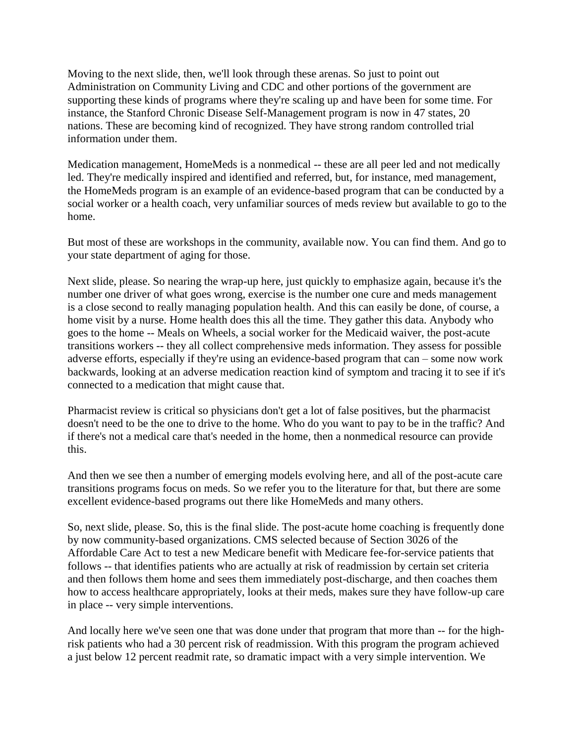Moving to the next slide, then, we'll look through these arenas. So just to point out Administration on Community Living and CDC and other portions of the government are supporting these kinds of programs where they're scaling up and have been for some time. For instance, the Stanford Chronic Disease Self-Management program is now in 47 states, 20 nations. These are becoming kind of recognized. They have strong random controlled trial information under them.

Medication management, HomeMeds is a nonmedical -- these are all peer led and not medically led. They're medically inspired and identified and referred, but, for instance, med management, the HomeMeds program is an example of an evidence-based program that can be conducted by a social worker or a health coach, very unfamiliar sources of meds review but available to go to the home.

But most of these are workshops in the community, available now. You can find them. And go to your state department of aging for those.

Next slide, please. So nearing the wrap-up here, just quickly to emphasize again, because it's the number one driver of what goes wrong, exercise is the number one cure and meds management is a close second to really managing population health. And this can easily be done, of course, a home visit by a nurse. Home health does this all the time. They gather this data. Anybody who goes to the home -- Meals on Wheels, a social worker for the Medicaid waiver, the post-acute transitions workers -- they all collect comprehensive meds information. They assess for possible adverse efforts, especially if they're using an evidence-based program that can – some now work backwards, looking at an adverse medication reaction kind of symptom and tracing it to see if it's connected to a medication that might cause that.

Pharmacist review is critical so physicians don't get a lot of false positives, but the pharmacist doesn't need to be the one to drive to the home. Who do you want to pay to be in the traffic? And if there's not a medical care that's needed in the home, then a nonmedical resource can provide this.

And then we see then a number of emerging models evolving here, and all of the post-acute care transitions programs focus on meds. So we refer you to the literature for that, but there are some excellent evidence-based programs out there like HomeMeds and many others.

So, next slide, please. So, this is the final slide. The post-acute home coaching is frequently done by now community-based organizations. CMS selected because of Section 3026 of the Affordable Care Act to test a new Medicare benefit with Medicare fee-for-service patients that follows -- that identifies patients who are actually at risk of readmission by certain set criteria and then follows them home and sees them immediately post-discharge, and then coaches them how to access healthcare appropriately, looks at their meds, makes sure they have follow-up care in place -- very simple interventions.

And locally here we've seen one that was done under that program that more than -- for the highrisk patients who had a 30 percent risk of readmission. With this program the program achieved a just below 12 percent readmit rate, so dramatic impact with a very simple intervention. We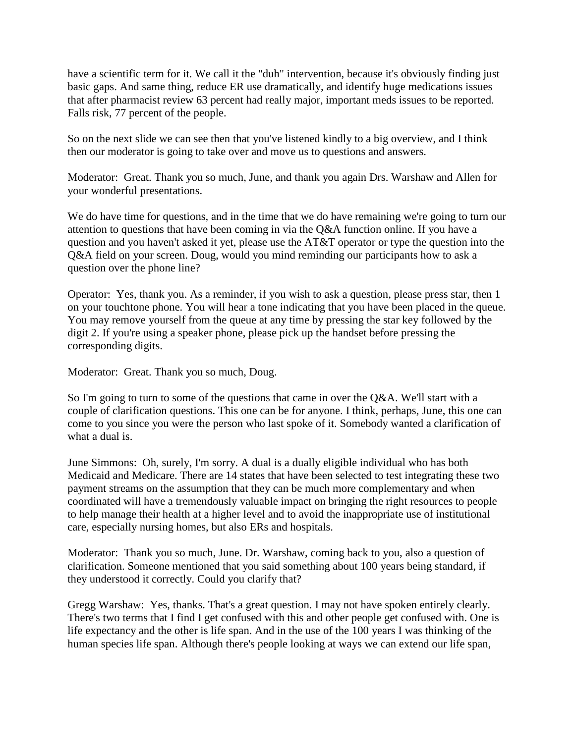have a scientific term for it. We call it the "duh" intervention, because it's obviously finding just basic gaps. And same thing, reduce ER use dramatically, and identify huge medications issues that after pharmacist review 63 percent had really major, important meds issues to be reported. Falls risk, 77 percent of the people.

So on the next slide we can see then that you've listened kindly to a big overview, and I think then our moderator is going to take over and move us to questions and answers.

Moderator: Great. Thank you so much, June, and thank you again Drs. Warshaw and Allen for your wonderful presentations.

We do have time for questions, and in the time that we do have remaining we're going to turn our attention to questions that have been coming in via the Q&A function online. If you have a question and you haven't asked it yet, please use the AT&T operator or type the question into the Q&A field on your screen. Doug, would you mind reminding our participants how to ask a question over the phone line?

Operator: Yes, thank you. As a reminder, if you wish to ask a question, please press star, then 1 on your touchtone phone. You will hear a tone indicating that you have been placed in the queue. You may remove yourself from the queue at any time by pressing the star key followed by the digit 2. If you're using a speaker phone, please pick up the handset before pressing the corresponding digits.

Moderator: Great. Thank you so much, Doug.

So I'm going to turn to some of the questions that came in over the Q&A. We'll start with a couple of clarification questions. This one can be for anyone. I think, perhaps, June, this one can come to you since you were the person who last spoke of it. Somebody wanted a clarification of what a dual is.

June Simmons: Oh, surely, I'm sorry. A dual is a dually eligible individual who has both Medicaid and Medicare. There are 14 states that have been selected to test integrating these two payment streams on the assumption that they can be much more complementary and when coordinated will have a tremendously valuable impact on bringing the right resources to people to help manage their health at a higher level and to avoid the inappropriate use of institutional care, especially nursing homes, but also ERs and hospitals.

Moderator: Thank you so much, June. Dr. Warshaw, coming back to you, also a question of clarification. Someone mentioned that you said something about 100 years being standard, if they understood it correctly. Could you clarify that?

Gregg Warshaw: Yes, thanks. That's a great question. I may not have spoken entirely clearly. There's two terms that I find I get confused with this and other people get confused with. One is life expectancy and the other is life span. And in the use of the 100 years I was thinking of the human species life span. Although there's people looking at ways we can extend our life span,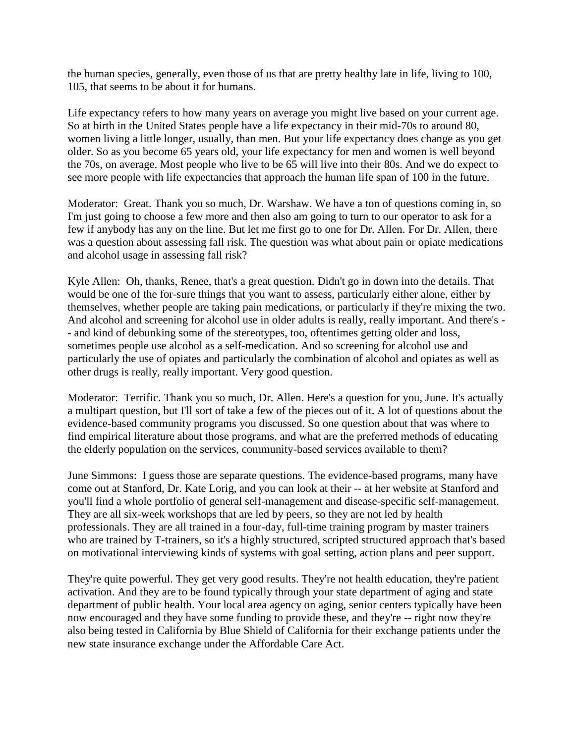the human species, generally, even those of us that are pretty healthy late in life, living to 100, 105, that seems to be about it for humans.

Life expectancy refers to how many years on average you might live based on your current age. So at birth in the United States people have a life expectancy in their mid-70s to around 80, women living a little longer, usually, than men. But your life expectancy does change as you get older. So as you become 65 years old, your life expectancy for men and women is well beyond the 70s, on average. Most people who live to be 65 will live into their 80s. And we do expect to see more people with life expectancies that approach the human life span of 100 in the future.

Moderator: Great. Thank you so much, Dr. Warshaw. We have a ton of questions coming in, so I'm just going to choose a few more and then also am going to turn to our operator to ask for a few if anybody has any on the line. But let me first go to one for Dr. Allen. For Dr. Allen, there was a question about assessing fall risk. The question was what about pain or opiate medications and alcohol usage in assessing fall risk?

Kyle Allen: Oh, thanks, Renee, that's a great question. Didn't go in down into the details. That would be one of the for-sure things that you want to assess, particularly either alone, either by themselves, whether people are taking pain medications, or particularly if they're mixing the two. And alcohol and screening for alcohol use in older adults is really, really important. And there's - - and kind of debunking some of the stereotypes, too, oftentimes getting older and loss, sometimes people use alcohol as a self-medication. And so screening for alcohol use and particularly the use of opiates and particularly the combination of alcohol and opiates as well as other drugs is really, really important. Very good question.

Moderator: Terrific. Thank you so much, Dr. Allen. Here's a question for you, June. It's actually a multipart question, but I'll sort of take a few of the pieces out of it. A lot of questions about the evidence-based community programs you discussed. So one question about that was where to find empirical literature about those programs, and what are the preferred methods of educating the elderly population on the services, community-based services available to them?

June Simmons: I guess those are separate questions. The evidence-based programs, many have come out at Stanford, Dr. Kate Lorig, and you can look at their -- at her website at Stanford and you'll find a whole portfolio of general self-management and disease-specific self-management. They are all six-week workshops that are led by peers, so they are not led by health professionals. They are all trained in a four-day, full-time training program by master trainers who are trained by T-trainers, so it's a highly structured, scripted structured approach that's based on motivational interviewing kinds of systems with goal setting, action plans and peer support.

They're quite powerful. They get very good results. They're not health education, they're patient activation. And they are to be found typically through your state department of aging and state department of public health. Your local area agency on aging, senior centers typically have been now encouraged and they have some funding to provide these, and they're -- right now they're also being tested in California by Blue Shield of California for their exchange patients under the new state insurance exchange under the Affordable Care Act.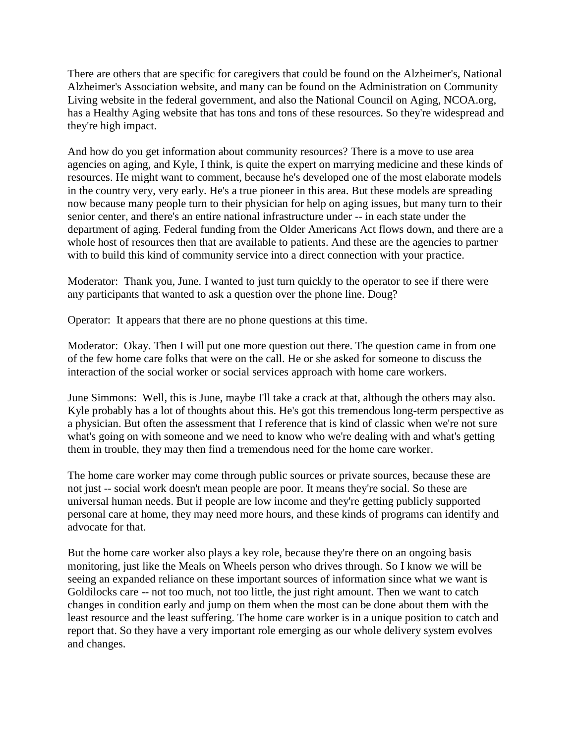There are others that are specific for caregivers that could be found on the Alzheimer's, National Alzheimer's Association website, and many can be found on the Administration on Community Living website in the federal government, and also the National Council on Aging, NCOA.org, has a Healthy Aging website that has tons and tons of these resources. So they're widespread and they're high impact.

And how do you get information about community resources? There is a move to use area agencies on aging, and Kyle, I think, is quite the expert on marrying medicine and these kinds of resources. He might want to comment, because he's developed one of the most elaborate models in the country very, very early. He's a true pioneer in this area. But these models are spreading now because many people turn to their physician for help on aging issues, but many turn to their senior center, and there's an entire national infrastructure under -- in each state under the department of aging. Federal funding from the Older Americans Act flows down, and there are a whole host of resources then that are available to patients. And these are the agencies to partner with to build this kind of community service into a direct connection with your practice.

Moderator: Thank you, June. I wanted to just turn quickly to the operator to see if there were any participants that wanted to ask a question over the phone line. Doug?

Operator: It appears that there are no phone questions at this time.

Moderator: Okay. Then I will put one more question out there. The question came in from one of the few home care folks that were on the call. He or she asked for someone to discuss the interaction of the social worker or social services approach with home care workers.

June Simmons: Well, this is June, maybe I'll take a crack at that, although the others may also. Kyle probably has a lot of thoughts about this. He's got this tremendous long-term perspective as a physician. But often the assessment that I reference that is kind of classic when we're not sure what's going on with someone and we need to know who we're dealing with and what's getting them in trouble, they may then find a tremendous need for the home care worker.

The home care worker may come through public sources or private sources, because these are not just -- social work doesn't mean people are poor. It means they're social. So these are universal human needs. But if people are low income and they're getting publicly supported personal care at home, they may need more hours, and these kinds of programs can identify and advocate for that.

But the home care worker also plays a key role, because they're there on an ongoing basis monitoring, just like the Meals on Wheels person who drives through. So I know we will be seeing an expanded reliance on these important sources of information since what we want is Goldilocks care -- not too much, not too little, the just right amount. Then we want to catch changes in condition early and jump on them when the most can be done about them with the least resource and the least suffering. The home care worker is in a unique position to catch and report that. So they have a very important role emerging as our whole delivery system evolves and changes.